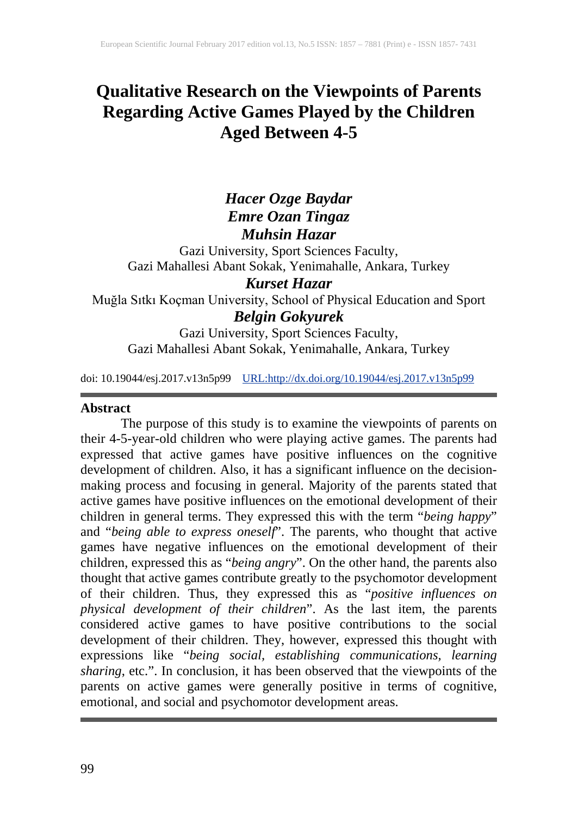# **Qualitative Research on the Viewpoints of Parents Regarding Active Games Played by the Children Aged Between 4-5**

# *Hacer Ozge Baydar Emre Ozan Tingaz Muhsin Hazar*

Gazi University, Sport Sciences Faculty, Gazi Mahallesi Abant Sokak, Yenimahalle, Ankara, Turkey

# *Kurset Hazar*

Muğla Sıtkı Koçman University, School of Physical Education and Sport *Belgin Gokyurek*

Gazi University, Sport Sciences Faculty, Gazi Mahallesi Abant Sokak, Yenimahalle, Ankara, Turkey

doi: 10.19044/esj.2017.v13n5p99 [URL:http://dx.doi.org/10.19044/esj.2017.v13n5p99](http://dx.doi.org/10.19044/esj.2017.v13n5p99)

#### **Abstract**

The purpose of this study is to examine the viewpoints of parents on their 4-5-year-old children who were playing active games. The parents had expressed that active games have positive influences on the cognitive development of children. Also, it has a significant influence on the decisionmaking process and focusing in general. Majority of the parents stated that active games have positive influences on the emotional development of their children in general terms. They expressed this with the term "*being happy*" and "*being able to express oneself*". The parents, who thought that active games have negative influences on the emotional development of their children, expressed this as "*being angry*". On the other hand, the parents also thought that active games contribute greatly to the psychomotor development of their children. Thus, they expressed this as "*positive influences on physical development of their children*". As the last item, the parents considered active games to have positive contributions to the social development of their children. They, however, expressed this thought with expressions like "*being social, establishing communications, learning sharing*, etc.". In conclusion, it has been observed that the viewpoints of the parents on active games were generally positive in terms of cognitive, emotional, and social and psychomotor development areas.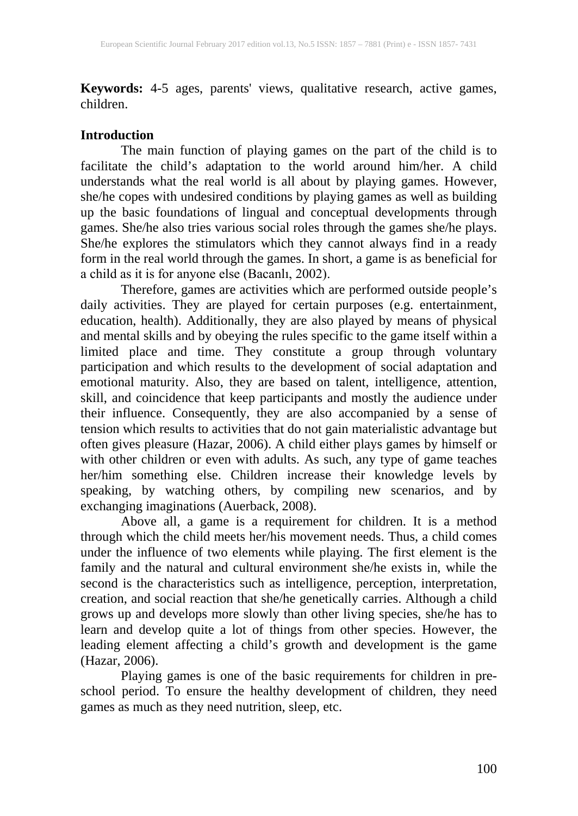**Keywords:** 4-5 ages, parents' views, qualitative research, active games, children.

#### **Introduction**

The main function of playing games on the part of the child is to facilitate the child's adaptation to the world around him/her. A child understands what the real world is all about by playing games. However, she/he copes with undesired conditions by playing games as well as building up the basic foundations of lingual and conceptual developments through games. She/he also tries various social roles through the games she/he plays. She/he explores the stimulators which they cannot always find in a ready form in the real world through the games. In short, a game is as beneficial for a child as it is for anyone else (Bacanlı, 2002).

Therefore, games are activities which are performed outside people's daily activities. They are played for certain purposes (e.g. entertainment, education, health). Additionally, they are also played by means of physical and mental skills and by obeying the rules specific to the game itself within a limited place and time. They constitute a group through voluntary participation and which results to the development of social adaptation and emotional maturity. Also, they are based on talent, intelligence, attention, skill, and coincidence that keep participants and mostly the audience under their influence. Consequently, they are also accompanied by a sense of tension which results to activities that do not gain materialistic advantage but often gives pleasure (Hazar, 2006). A child either plays games by himself or with other children or even with adults. As such, any type of game teaches her/him something else. Children increase their knowledge levels by speaking, by watching others, by compiling new scenarios, and by exchanging imaginations (Auerback, 2008).

Above all, a game is a requirement for children. It is a method through which the child meets her/his movement needs. Thus, a child comes under the influence of two elements while playing. The first element is the family and the natural and cultural environment she/he exists in, while the second is the characteristics such as intelligence, perception, interpretation, creation, and social reaction that she/he genetically carries. Although a child grows up and develops more slowly than other living species, she/he has to learn and develop quite a lot of things from other species. However, the leading element affecting a child's growth and development is the game (Hazar, 2006).

Playing games is one of the basic requirements for children in preschool period. To ensure the healthy development of children, they need games as much as they need nutrition, sleep, etc.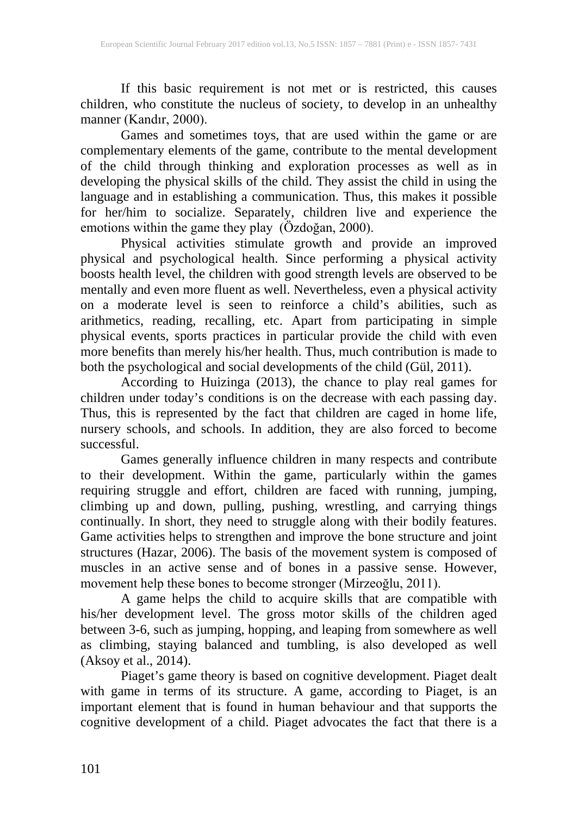If this basic requirement is not met or is restricted, this causes children, who constitute the nucleus of society, to develop in an unhealthy manner (Kandır, 2000).

Games and sometimes toys, that are used within the game or are complementary elements of the game, contribute to the mental development of the child through thinking and exploration processes as well as in developing the physical skills of the child. They assist the child in using the language and in establishing a communication. Thus, this makes it possible for her/him to socialize. Separately, children live and experience the emotions within the game they play (Özdoğan, 2000).

Physical activities stimulate growth and provide an improved physical and psychological health. Since performing a physical activity boosts health level, the children with good strength levels are observed to be mentally and even more fluent as well. Nevertheless, even a physical activity on a moderate level is seen to reinforce a child's abilities, such as arithmetics, reading, recalling, etc. Apart from participating in simple physical events, sports practices in particular provide the child with even more benefits than merely his/her health. Thus, much contribution is made to both the psychological and social developments of the child (Gül, 2011).

According to Huizinga (2013), the chance to play real games for children under today's conditions is on the decrease with each passing day. Thus, this is represented by the fact that children are caged in home life, nursery schools, and schools. In addition, they are also forced to become successful.

Games generally influence children in many respects and contribute to their development. Within the game, particularly within the games requiring struggle and effort, children are faced with running, jumping, climbing up and down, pulling, pushing, wrestling, and carrying things continually. In short, they need to struggle along with their bodily features. Game activities helps to strengthen and improve the bone structure and joint structures (Hazar, 2006). The basis of the movement system is composed of muscles in an active sense and of bones in a passive sense. However, movement help these bones to become stronger (Mirzeoğlu, 2011).

A game helps the child to acquire skills that are compatible with his/her development level. The gross motor skills of the children aged between 3-6, such as jumping, hopping, and leaping from somewhere as well as climbing, staying balanced and tumbling, is also developed as well (Aksoy et al., 2014).

Piaget's game theory is based on cognitive development. Piaget dealt with game in terms of its structure. A game, according to Piaget, is an important element that is found in human behaviour and that supports the cognitive development of a child. Piaget advocates the fact that there is a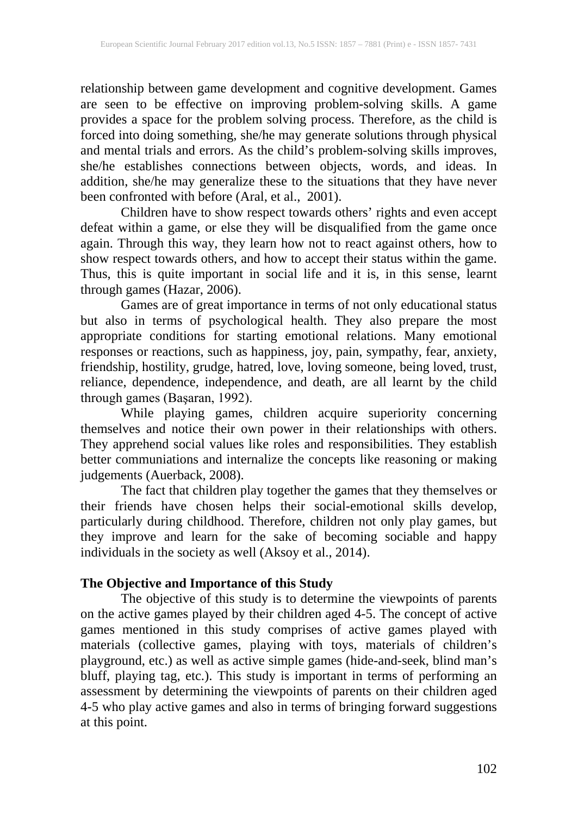relationship between game development and cognitive development. Games are seen to be effective on improving problem-solving skills. A game provides a space for the problem solving process. Therefore, as the child is forced into doing something, she/he may generate solutions through physical and mental trials and errors. As the child's problem-solving skills improves, she/he establishes connections between objects, words, and ideas. In addition, she/he may generalize these to the situations that they have never been confronted with before (Aral, et al., 2001).

Children have to show respect towards others' rights and even accept defeat within a game, or else they will be disqualified from the game once again. Through this way, they learn how not to react against others, how to show respect towards others, and how to accept their status within the game. Thus, this is quite important in social life and it is, in this sense, learnt through games (Hazar, 2006).

Games are of great importance in terms of not only educational status but also in terms of psychological health. They also prepare the most appropriate conditions for starting emotional relations. Many emotional responses or reactions, such as happiness, joy, pain, sympathy, fear, anxiety, friendship, hostility, grudge, hatred, love, loving someone, being loved, trust, reliance, dependence, independence, and death, are all learnt by the child through games (Başaran, 1992).

While playing games, children acquire superiority concerning themselves and notice their own power in their relationships with others. They apprehend social values like roles and responsibilities. They establish better communiations and internalize the concepts like reasoning or making judgements (Auerback, 2008).

The fact that children play together the games that they themselves or their friends have chosen helps their social-emotional skills develop, particularly during childhood. Therefore, children not only play games, but they improve and learn for the sake of becoming sociable and happy individuals in the society as well (Aksoy et al., 2014).

# **The Objective and Importance of this Study**

The objective of this study is to determine the viewpoints of parents on the active games played by their children aged 4-5. The concept of active games mentioned in this study comprises of active games played with materials (collective games, playing with toys, materials of children's playground, etc.) as well as active simple games (hide-and-seek, blind man's bluff, playing tag, etc.). This study is important in terms of performing an assessment by determining the viewpoints of parents on their children aged 4-5 who play active games and also in terms of bringing forward suggestions at this point.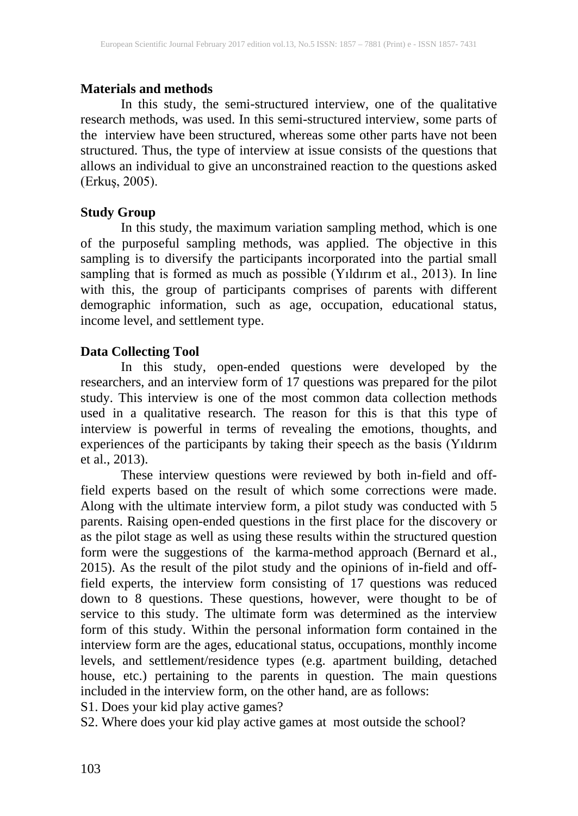#### **Materials and methods**

In this study, the semi-structured interview, one of the qualitative research methods, was used. In this semi-structured interview, some parts of the interview have been structured, whereas some other parts have not been structured. Thus, the type of interview at issue consists of the questions that allows an individual to give an unconstrained reaction to the questions asked (Erkuş, 2005).

# **Study Group**

In this study, the maximum variation sampling method, which is one of the purposeful sampling methods, was applied. The objective in this sampling is to diversify the participants incorporated into the partial small sampling that is formed as much as possible (Yıldırım et al., 2013). In line with this, the group of participants comprises of parents with different demographic information, such as age, occupation, educational status, income level, and settlement type.

# **Data Collecting Tool**

In this study, open-ended questions were developed by the researchers, and an interview form of 17 questions was prepared for the pilot study. This interview is one of the most common data collection methods used in a qualitative research. The reason for this is that this type of interview is powerful in terms of revealing the emotions, thoughts, and experiences of the participants by taking their speech as the basis (Yıldırım et al., 2013).

These interview questions were reviewed by both in-field and offfield experts based on the result of which some corrections were made. Along with the ultimate interview form, a pilot study was conducted with 5 parents. Raising open-ended questions in the first place for the discovery or as the pilot stage as well as using these results within the structured question form were the suggestions of the karma-method approach (Bernard et al., 2015). As the result of the pilot study and the opinions of in-field and offfield experts, the interview form consisting of 17 questions was reduced down to 8 questions. These questions, however, were thought to be of service to this study. The ultimate form was determined as the interview form of this study. Within the personal information form contained in the interview form are the ages, educational status, occupations, monthly income levels, and settlement/residence types (e.g. apartment building, detached house, etc.) pertaining to the parents in question. The main questions included in the interview form, on the other hand, are as follows:

S1. Does your kid play active games?

S2. Where does your kid play active games at most outside the school?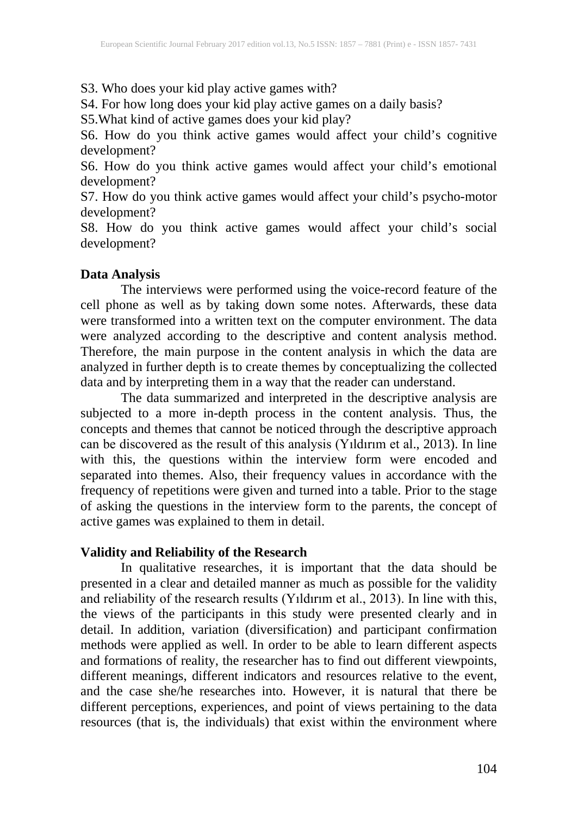S3. Who does your kid play active games with?

S4. For how long does your kid play active games on a daily basis?

S5.What kind of active games does your kid play?

S6. How do you think active games would affect your child's cognitive development?

S6. How do you think active games would affect your child's emotional development?

S7. How do you think active games would affect your child's psycho-motor development?

S8. How do you think active games would affect your child's social development?

# **Data Analysis**

The interviews were performed using the voice-record feature of the cell phone as well as by taking down some notes. Afterwards, these data were transformed into a written text on the computer environment. The data were analyzed according to the descriptive and content analysis method. Therefore, the main purpose in the content analysis in which the data are analyzed in further depth is to create themes by conceptualizing the collected data and by interpreting them in a way that the reader can understand.

The data summarized and interpreted in the descriptive analysis are subjected to a more in-depth process in the content analysis. Thus, the concepts and themes that cannot be noticed through the descriptive approach can be discovered as the result of this analysis (Yıldırım et al., 2013). In line with this, the questions within the interview form were encoded and separated into themes. Also, their frequency values in accordance with the frequency of repetitions were given and turned into a table. Prior to the stage of asking the questions in the interview form to the parents, the concept of active games was explained to them in detail.

# **Validity and Reliability of the Research**

In qualitative researches, it is important that the data should be presented in a clear and detailed manner as much as possible for the validity and reliability of the research results (Yıldırım et al., 2013). In line with this, the views of the participants in this study were presented clearly and in detail. In addition, variation (diversification) and participant confirmation methods were applied as well. In order to be able to learn different aspects and formations of reality, the researcher has to find out different viewpoints, different meanings, different indicators and resources relative to the event, and the case she/he researches into. However, it is natural that there be different perceptions, experiences, and point of views pertaining to the data resources (that is, the individuals) that exist within the environment where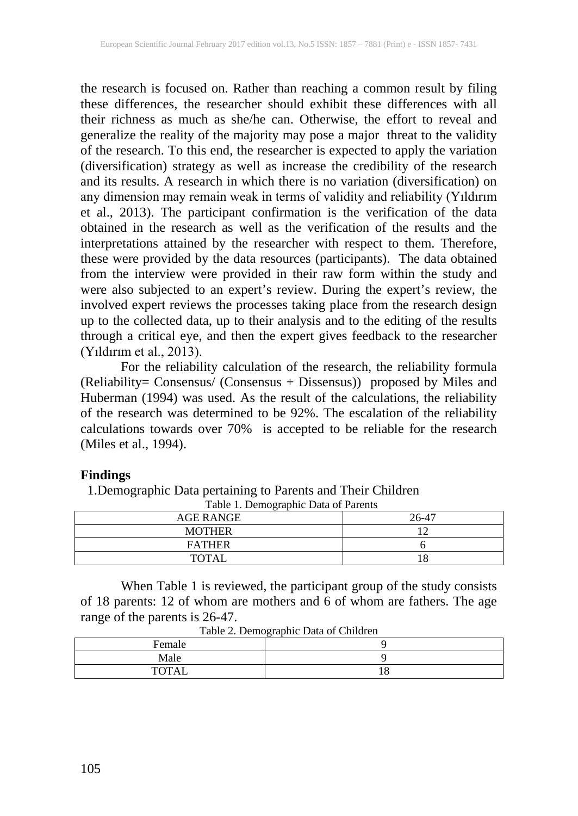the research is focused on. Rather than reaching a common result by filing these differences, the researcher should exhibit these differences with all their richness as much as she/he can. Otherwise, the effort to reveal and generalize the reality of the majority may pose a major threat to the validity of the research. To this end, the researcher is expected to apply the variation (diversification) strategy as well as increase the credibility of the research and its results. A research in which there is no variation (diversification) on any dimension may remain weak in terms of validity and reliability (Yıldırım et al., 2013). The participant confirmation is the verification of the data obtained in the research as well as the verification of the results and the interpretations attained by the researcher with respect to them. Therefore, these were provided by the data resources (participants). The data obtained from the interview were provided in their raw form within the study and were also subjected to an expert's review. During the expert's review, the involved expert reviews the processes taking place from the research design up to the collected data, up to their analysis and to the editing of the results through a critical eye, and then the expert gives feedback to the researcher (Yıldırım et al., 2013).

For the reliability calculation of the research, the reliability formula (Reliability= Consensus/ (Consensus + Dissensus)) proposed by Miles and Huberman (1994) was used. As the result of the calculations, the reliability of the research was determined to be 92%. The escalation of the reliability calculations towards over 70% is accepted to be reliable for the research (Miles et al., 1994).

#### **Findings**

1.Demographic Data pertaining to Parents and Their Children

| <b>AGE RANGE</b> | 26-47 |  |  |
|------------------|-------|--|--|
| <b>MOTHER</b>    |       |  |  |
| <b>FATHER</b>    |       |  |  |
| <b>TOTAL</b>     | 1 O   |  |  |

Table 1. Demographic Data of Parents

When Table 1 is reviewed, the participant group of the study consists of 18 parents: 12 of whom are mothers and 6 of whom are fathers. The age range of the parents is 26-47.

| Female       | Tuone 2: Dennogrupine Duiu of Chineren |
|--------------|----------------------------------------|
| Male         |                                        |
| <b>TOTAL</b> | ιo                                     |

Table 2. Demographic Data of Children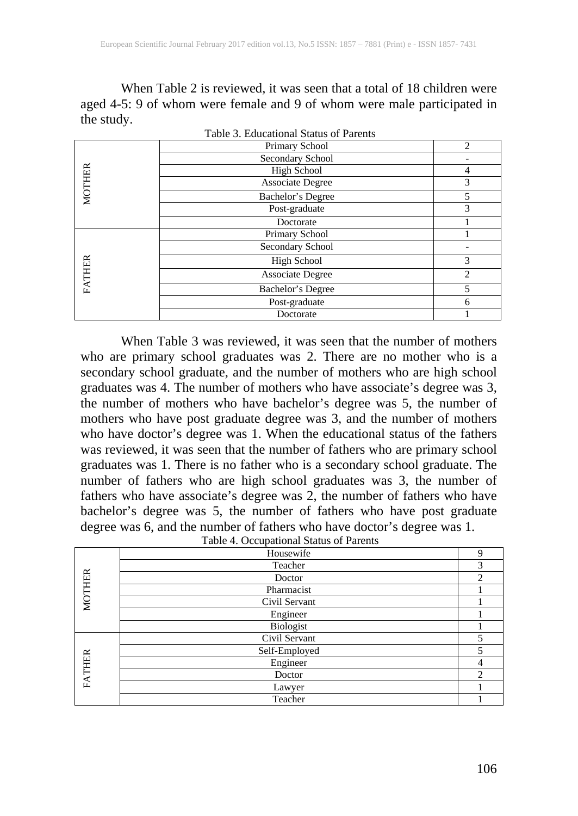When Table 2 is reviewed, it was seen that a total of 18 children were aged 4-5: 9 of whom were female and 9 of whom were male participated in the study.

| Table 3. Educational Status of Parents |                         |                |  |
|----------------------------------------|-------------------------|----------------|--|
|                                        | Primary School          | $\mathfrak{D}$ |  |
|                                        | Secondary School        |                |  |
|                                        | High School             | 4              |  |
| MOTHER                                 | <b>Associate Degree</b> | 3              |  |
|                                        | Bachelor's Degree       | 5              |  |
|                                        | Post-graduate           | 3              |  |
|                                        | Doctorate               |                |  |
|                                        | Primary School          |                |  |
|                                        | Secondary School        |                |  |
|                                        | <b>High School</b>      | 3              |  |
| FATHER                                 | <b>Associate Degree</b> | 2              |  |
|                                        | Bachelor's Degree       | 5              |  |
|                                        | Post-graduate           | 6              |  |
|                                        | Doctorate               |                |  |

When Table 3 was reviewed, it was seen that the number of mothers who are primary school graduates was 2. There are no mother who is a secondary school graduate, and the number of mothers who are high school graduates was 4. The number of mothers who have associate's degree was 3, the number of mothers who have bachelor's degree was 5, the number of mothers who have post graduate degree was 3, and the number of mothers who have doctor's degree was 1. When the educational status of the fathers was reviewed, it was seen that the number of fathers who are primary school graduates was 1. There is no father who is a secondary school graduate. The number of fathers who are high school graduates was 3, the number of fathers who have associate's degree was 2, the number of fathers who have bachelor's degree was 5, the number of fathers who have post graduate degree was 6, and the number of fathers who have doctor's degree was 1.

|               | Table 4. Occupational Status of Farents |               |
|---------------|-----------------------------------------|---------------|
|               | Housewife                               | Q             |
|               | Teacher                                 | 3             |
|               | Doctor                                  | $\mathcal{D}$ |
|               | Pharmacist                              |               |
| <b>MOTHER</b> | Civil Servant                           |               |
|               | Engineer                                |               |
|               | Biologist                               |               |
|               | Civil Servant                           |               |
|               | Self-Employed                           |               |
|               | Engineer                                |               |
| FATHER        | Doctor                                  |               |
|               | Lawyer                                  |               |
|               | Teacher                                 |               |

Table 4. Occupational Status of Parents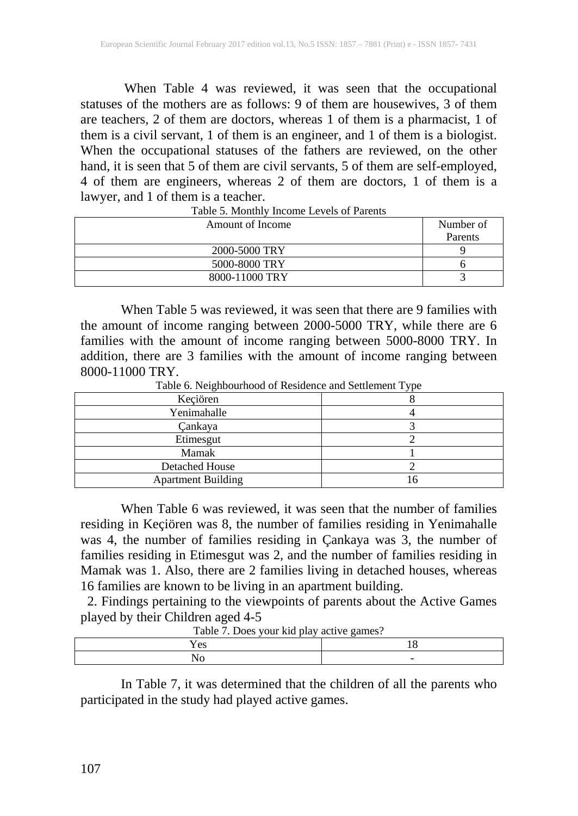When Table 4 was reviewed, it was seen that the occupational statuses of the mothers are as follows: 9 of them are housewives, 3 of them are teachers, 2 of them are doctors, whereas 1 of them is a pharmacist, 1 of them is a civil servant, 1 of them is an engineer, and 1 of them is a biologist. When the occupational statuses of the fathers are reviewed, on the other hand, it is seen that 5 of them are civil servants, 5 of them are self-employed, 4 of them are engineers, whereas 2 of them are doctors, 1 of them is a lawyer, and 1 of them is a teacher.

| Amount of Income | Number of |
|------------------|-----------|
|                  | Parents   |
| 2000-5000 TRY    |           |
| 5000-8000 TRY    |           |
| 8000-11000 TRY   |           |

Table 5. Monthly Income Levels of Parents

When Table 5 was reviewed, it was seen that there are 9 families with the amount of income ranging between 2000-5000 TRY, while there are 6 families with the amount of income ranging between 5000-8000 TRY. In addition, there are 3 families with the amount of income ranging between 8000-11000 TRY.

Table 6. Neighbourhood of Residence and Settlement Type

| Keçiören                  |  |  |
|---------------------------|--|--|
| Yenimahalle               |  |  |
| Çankaya                   |  |  |
| Etimesgut                 |  |  |
| Mamak                     |  |  |
| <b>Detached House</b>     |  |  |
| <b>Apartment Building</b> |  |  |

When Table 6 was reviewed, it was seen that the number of families residing in Keçiören was 8, the number of families residing in Yenimahalle was 4, the number of families residing in Çankaya was 3, the number of families residing in Etimesgut was 2, and the number of families residing in Mamak was 1. Also, there are 2 families living in detached houses, whereas 16 families are known to be living in an apartment building.

 2. Findings pertaining to the viewpoints of parents about the Active Games played by their Children aged 4-5

| Table 7. Does your Kid play active gaines: |  |  |
|--------------------------------------------|--|--|
| es                                         |  |  |
|                                            |  |  |

Table 7. Does your kid play active games?

In Table 7, it was determined that the children of all the parents who participated in the study had played active games.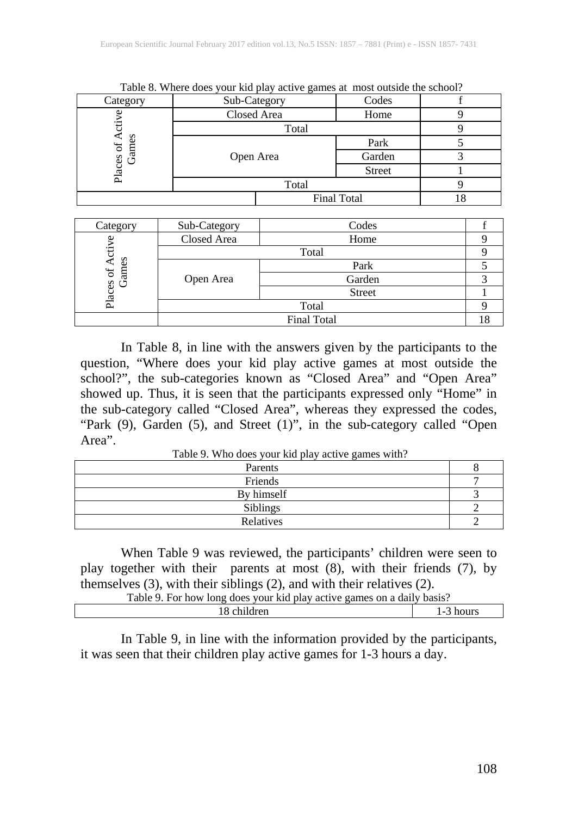| - wore of the couple<br>Sub-Category<br>Category |           |                     | <u>sen me pas presente games av most sensiere une sensori</u><br>Codes |  |
|--------------------------------------------------|-----------|---------------------|------------------------------------------------------------------------|--|
|                                                  |           |                     |                                                                        |  |
|                                                  |           | Closed Area<br>Home |                                                                        |  |
|                                                  | Total     |                     |                                                                        |  |
| 5                                                |           |                     | Park                                                                   |  |
| Games<br>laces                                   | Open Area |                     | Garden                                                                 |  |
|                                                  |           | <b>Street</b>       |                                                                        |  |
| Δ                                                | Total     |                     |                                                                        |  |
|                                                  |           |                     | <b>Final Total</b>                                                     |  |

Table 8. Where does your kid play active games at most outside the school?

| Category                     | Sub-Category | Codes              |  |
|------------------------------|--------------|--------------------|--|
| ॱॸॖ<br>Places of Ac<br>Games | Closed Area  | Home               |  |
|                              | Total        |                    |  |
|                              | Open Area    | Park               |  |
|                              |              | Garden             |  |
|                              |              | <b>Street</b>      |  |
|                              | Total        |                    |  |
|                              |              | <b>Final Total</b> |  |

In Table 8, in line with the answers given by the participants to the question, "Where does your kid play active games at most outside the school?", the sub-categories known as "Closed Area" and "Open Area" showed up. Thus, it is seen that the participants expressed only "Home" in the sub-category called "Closed Area", whereas they expressed the codes, "Park (9), Garden (5), and Street (1)", in the sub-category called "Open Area".

Table 9. Who does your kid play active games with?

| Parents         |  |
|-----------------|--|
| Friends         |  |
| By himself      |  |
| <b>Siblings</b> |  |
| Relatives       |  |

When Table 9 was reviewed, the participants' children were seen to play together with their parents at most (8), with their friends (7), by themselves (3), with their siblings (2), and with their relatives (2).

| Table 9. For how long does your kid play active games on a daily basis? |  |
|-------------------------------------------------------------------------|--|
| 18 children                                                             |  |

In Table 9, in line with the information provided by the participants, it was seen that their children play active games for 1-3 hours a day.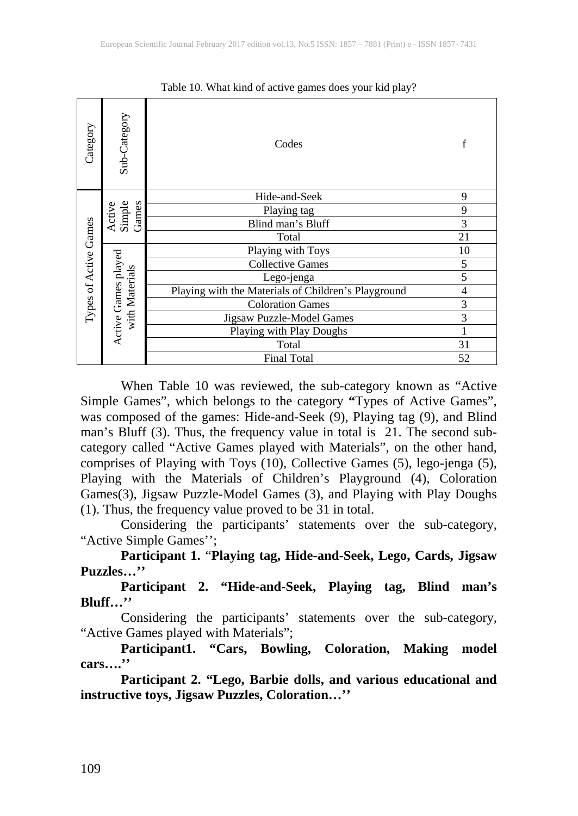| Category                                                                                                                                                                                                                                                                                                                                                                                                                                                                                                                                                                                                                                                                                                                                                                                                                                                                                                                                                                                                                                                                                                | Sub-Category              | Codes                                                                                                            | $f_{\rm}$      |
|---------------------------------------------------------------------------------------------------------------------------------------------------------------------------------------------------------------------------------------------------------------------------------------------------------------------------------------------------------------------------------------------------------------------------------------------------------------------------------------------------------------------------------------------------------------------------------------------------------------------------------------------------------------------------------------------------------------------------------------------------------------------------------------------------------------------------------------------------------------------------------------------------------------------------------------------------------------------------------------------------------------------------------------------------------------------------------------------------------|---------------------------|------------------------------------------------------------------------------------------------------------------|----------------|
|                                                                                                                                                                                                                                                                                                                                                                                                                                                                                                                                                                                                                                                                                                                                                                                                                                                                                                                                                                                                                                                                                                         |                           | Hide-and-Seek                                                                                                    | 9              |
|                                                                                                                                                                                                                                                                                                                                                                                                                                                                                                                                                                                                                                                                                                                                                                                                                                                                                                                                                                                                                                                                                                         | Active<br>Simple<br>Games | Playing tag                                                                                                      | 9              |
|                                                                                                                                                                                                                                                                                                                                                                                                                                                                                                                                                                                                                                                                                                                                                                                                                                                                                                                                                                                                                                                                                                         |                           | Blind man's Bluff                                                                                                | $\overline{3}$ |
| Types of Active Games                                                                                                                                                                                                                                                                                                                                                                                                                                                                                                                                                                                                                                                                                                                                                                                                                                                                                                                                                                                                                                                                                   |                           | Total                                                                                                            | 21             |
|                                                                                                                                                                                                                                                                                                                                                                                                                                                                                                                                                                                                                                                                                                                                                                                                                                                                                                                                                                                                                                                                                                         |                           | Playing with Toys                                                                                                | 10             |
|                                                                                                                                                                                                                                                                                                                                                                                                                                                                                                                                                                                                                                                                                                                                                                                                                                                                                                                                                                                                                                                                                                         |                           | <b>Collective Games</b>                                                                                          | 5              |
|                                                                                                                                                                                                                                                                                                                                                                                                                                                                                                                                                                                                                                                                                                                                                                                                                                                                                                                                                                                                                                                                                                         |                           | Lego-jenga                                                                                                       | $\overline{5}$ |
|                                                                                                                                                                                                                                                                                                                                                                                                                                                                                                                                                                                                                                                                                                                                                                                                                                                                                                                                                                                                                                                                                                         |                           | Playing with the Materials of Children's Playground                                                              | $\overline{4}$ |
|                                                                                                                                                                                                                                                                                                                                                                                                                                                                                                                                                                                                                                                                                                                                                                                                                                                                                                                                                                                                                                                                                                         |                           | <b>Coloration Games</b>                                                                                          | $\overline{3}$ |
|                                                                                                                                                                                                                                                                                                                                                                                                                                                                                                                                                                                                                                                                                                                                                                                                                                                                                                                                                                                                                                                                                                         | with Materials            | Jigsaw Puzzle-Model Games                                                                                        | $\overline{3}$ |
|                                                                                                                                                                                                                                                                                                                                                                                                                                                                                                                                                                                                                                                                                                                                                                                                                                                                                                                                                                                                                                                                                                         | Active Games played       | Playing with Play Doughs                                                                                         | 1              |
|                                                                                                                                                                                                                                                                                                                                                                                                                                                                                                                                                                                                                                                                                                                                                                                                                                                                                                                                                                                                                                                                                                         |                           | Total                                                                                                            | 31             |
|                                                                                                                                                                                                                                                                                                                                                                                                                                                                                                                                                                                                                                                                                                                                                                                                                                                                                                                                                                                                                                                                                                         |                           | <b>Final Total</b>                                                                                               | 52             |
| When Table 10 was reviewed, the sub-category known as "Active"<br>Simple Games", which belongs to the category "Types of Active Games",<br>was composed of the games: Hide-and-Seek (9), Playing tag (9), and Blind<br>man's Bluff (3). Thus, the frequency value in total is 21. The second sub-<br>category called "Active Games played with Materials", on the other hand,<br>comprises of Playing with Toys (10), Collective Games (5), lego-jenga (5),<br>Playing with the Materials of Children's Playground (4), Coloration<br>Games(3), Jigsaw Puzzle-Model Games (3), and Playing with Play Doughs<br>(1). Thus, the frequency value proved to be 31 in total.<br>Considering the participants' statements over the sub-category,<br>"Active Simple Games";<br>Participant 1. "Playing tag, Hide-and-Seek, Lego, Cards, Jigsaw<br>Puzzles"<br>Participant 2. "Hide-and-Seek, Playing tag, Blind man's<br>Bluff"<br>Considering the participants' statements over the sub-category,<br>"Active Games played with Materials";<br>Participant1. "Cars, Bowling, Coloration, Making model<br>cars" |                           |                                                                                                                  |                |
|                                                                                                                                                                                                                                                                                                                                                                                                                                                                                                                                                                                                                                                                                                                                                                                                                                                                                                                                                                                                                                                                                                         |                           | Participant 2. "Lego, Barbie dolls, and various educational and<br>instructive toys, Jigsaw Puzzles, Coloration" |                |

Table 10. What kind of active games does your kid play?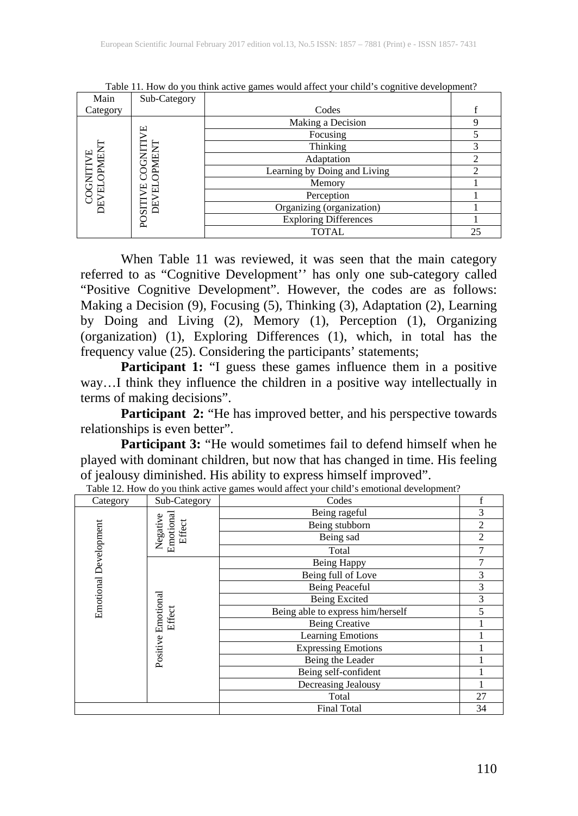| Main                          | Sub-Category                        |                              |                |
|-------------------------------|-------------------------------------|------------------------------|----------------|
| Category                      |                                     | Codes                        |                |
| COGNITIVE<br>EVELOPMEN<br>DEV | T<br>片<br>₫<br>ш<br>黃<br>Б<br>POSIT | Making a Decision            | 9              |
|                               |                                     | Focusing                     |                |
|                               |                                     | Thinking                     | 3              |
|                               |                                     | Adaptation                   | $\overline{c}$ |
|                               |                                     | Learning by Doing and Living | $\overline{c}$ |
|                               |                                     | Memory                       |                |
|                               |                                     | Perception                   |                |
|                               |                                     | Organizing (organization)    |                |
|                               |                                     | <b>Exploring Differences</b> |                |
|                               |                                     | TOTAL                        | 25             |

Table 11. How do you think active games would affect your child's cognitive development?

When Table 11 was reviewed, it was seen that the main category referred to as "Cognitive Development'' has only one sub-category called "Positive Cognitive Development". However, the codes are as follows: Making a Decision (9), Focusing (5), Thinking (3), Adaptation (2), Learning by Doing and Living (2), Memory (1), Perception (1), Organizing (organization) (1), Exploring Differences (1), which, in total has the frequency value (25). Considering the participants' statements;

**Participant 1:** "I guess these games influence them in a positive way…I think they influence the children in a positive way intellectually in terms of making decisions".

Participant 2: "He has improved better, and his perspective towards relationships is even better".

Participant 3: "He would sometimes fail to defend himself when he played with dominant children, but now that has changed in time. His feeling of jealousy diminished. His ability to express himself improved". Table 12. How do you think active games would affect your child's emotional development?

| Category                     | Sub-Category                           | Codes                             |    |
|------------------------------|----------------------------------------|-----------------------------------|----|
|                              | Emotional<br>Negative<br><b>Effect</b> | Being rageful                     | 3  |
|                              |                                        | Being stubborn                    | 2  |
| <b>Emotional Development</b> |                                        | Being sad                         | 2  |
|                              |                                        | Total                             |    |
|                              | Positive Emotional<br><b>Effect</b>    | Being Happy                       |    |
|                              |                                        | Being full of Love                |    |
|                              |                                        | Being Peaceful                    |    |
|                              |                                        | <b>Being Excited</b>              |    |
|                              |                                        | Being able to express him/herself |    |
|                              |                                        | <b>Being Creative</b>             |    |
|                              |                                        | <b>Learning Emotions</b>          |    |
|                              |                                        | <b>Expressing Emotions</b>        |    |
|                              |                                        | Being the Leader                  |    |
|                              |                                        | Being self-confident              |    |
|                              |                                        | Decreasing Jealousy               |    |
|                              |                                        | Total                             | 27 |
|                              |                                        | <b>Final Total</b>                | 34 |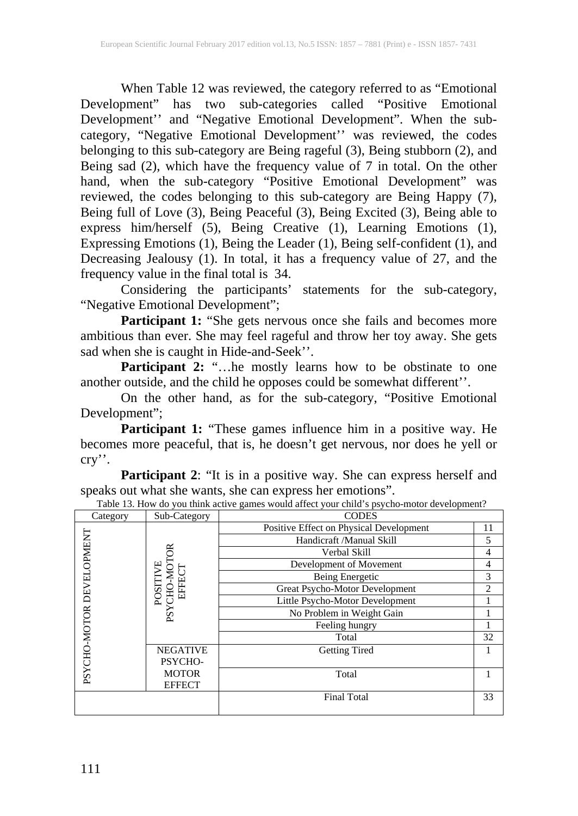When Table 12 was reviewed, the category referred to as "Emotional Development" has two sub-categories called "Positive Emotional Development'' and "Negative Emotional Development". When the subcategory, "Negative Emotional Development'' was reviewed, the codes belonging to this sub-category are Being rageful (3), Being stubborn (2), and Being sad (2), which have the frequency value of 7 in total. On the other hand, when the sub-category "Positive Emotional Development" was reviewed, the codes belonging to this sub-category are Being Happy (7), Being full of Love (3), Being Peaceful (3), Being Excited (3), Being able to express him/herself (5), Being Creative (1), Learning Emotions (1), Expressing Emotions (1), Being the Leader (1), Being self-confident (1), and Decreasing Jealousy (1). In total, it has a frequency value of 27, and the frequency value in the final total is 34.

Considering the participants' statements for the sub-category, "Negative Emotional Development";

Participant 1: "She gets nervous once she fails and becomes more ambitious than ever. She may feel rageful and throw her toy away. She gets sad when she is caught in Hide-and-Seek''.

**Participant 2:** "…he mostly learns how to be obstinate to one another outside, and the child he opposes could be somewhat different''.

On the other hand, as for the sub-category, "Positive Emotional Development";

**Participant 1:** "These games influence him in a positive way. He becomes more peaceful, that is, he doesn't get nervous, nor does he yell or cry''.

**Participant 2:** "It is in a positive way. She can express herself and speaks out what she wants, she can express her emotions".

| Table 13. How do you think active games would affect your child s psycho-motor development? |                            |                                         |                |  |
|---------------------------------------------------------------------------------------------|----------------------------|-----------------------------------------|----------------|--|
| Category                                                                                    | Sub-Category               | <b>CODES</b>                            |                |  |
|                                                                                             |                            | Positive Effect on Physical Development | 11             |  |
|                                                                                             |                            | Handicraft /Manual Skill                | 5              |  |
|                                                                                             |                            | Verbal Skill                            | 4              |  |
|                                                                                             |                            | Development of Movement                 | 4              |  |
|                                                                                             | POSITIVE<br>EFFEC<br>CHO-M | Being Energetic                         | 3              |  |
|                                                                                             |                            | Great Psycho-Motor Development          | $\mathfrak{D}$ |  |
|                                                                                             |                            | Little Psycho-Motor Development         |                |  |
|                                                                                             | <b>PSY</b>                 | No Problem in Weight Gain               |                |  |
|                                                                                             |                            | Feeling hungry                          |                |  |
| PSYCHO-MOTOR DEVELOPMENT                                                                    |                            | Total                                   | 32             |  |
|                                                                                             | <b>NEGATIVE</b>            | <b>Getting Tired</b>                    |                |  |
|                                                                                             | PSYCHO-                    |                                         |                |  |
|                                                                                             | <b>MOTOR</b>               | Total                                   |                |  |
|                                                                                             | <b>EFFECT</b>              |                                         |                |  |
|                                                                                             |                            | <b>Final Total</b>                      | 33             |  |
|                                                                                             |                            |                                         |                |  |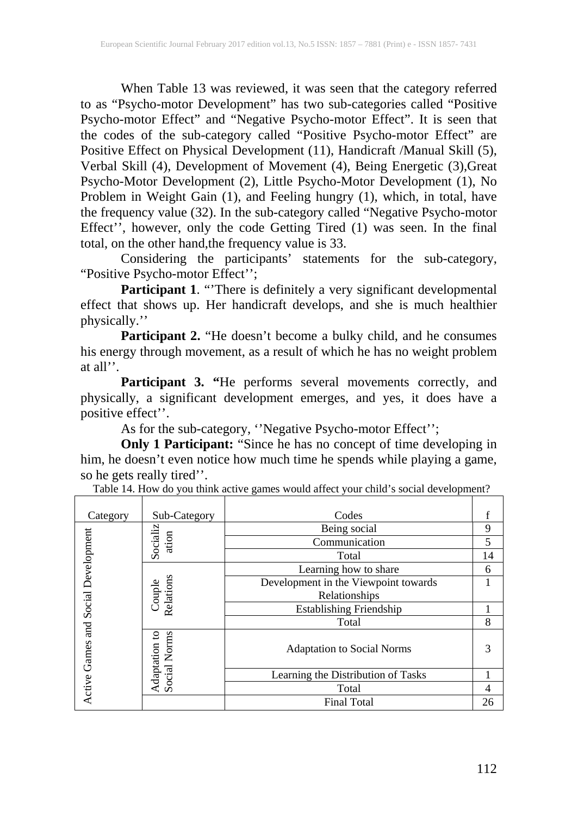When Table 13 was reviewed, it was seen that the category referred to as "Psycho-motor Development" has two sub-categories called "Positive Psycho-motor Effect" and "Negative Psycho-motor Effect". It is seen that the codes of the sub-category called "Positive Psycho-motor Effect" are Positive Effect on Physical Development (11), Handicraft /Manual Skill (5), Verbal Skill (4), Development of Movement (4), Being Energetic (3),Great Psycho-Motor Development (2), Little Psycho-Motor Development (1), No Problem in Weight Gain (1), and Feeling hungry (1), which, in total, have the frequency value (32). In the sub-category called "Negative Psycho-motor Effect'', however, only the code Getting Tired (1) was seen. In the final total, on the other hand,the frequency value is 33.

Considering the participants' statements for the sub-category, "Positive Psycho-motor Effect'';

**Participant 1**. "'There is definitely a very significant developmental effect that shows up. Her handicraft develops, and she is much healthier physically.''

**Participant 2.** "He doesn't become a bulky child, and he consumes his energy through movement, as a result of which he has no weight problem at all''.

Participant 3. "He performs several movements correctly, and physically, a significant development emerges, and yes, it does have a positive effect''.

As for the sub-category, ''Negative Psycho-motor Effect'';

**Only 1 Participant:** "Since he has no concept of time developing in him, he doesn't even notice how much time he spends while playing a game, so he gets really tired''.

| Category                            | Sub-Category                         | Codes                                |    |
|-------------------------------------|--------------------------------------|--------------------------------------|----|
|                                     | Socializ<br>ation                    | Being social                         | 9  |
|                                     |                                      | Communication                        | 5  |
|                                     |                                      | Total                                | 14 |
|                                     | Couple<br>Relations                  | Learning how to share                | 6  |
|                                     |                                      | Development in the Viewpoint towards |    |
|                                     |                                      | Relationships                        |    |
| Active Games and Social Development |                                      | <b>Establishing Friendship</b>       |    |
|                                     |                                      | Total                                | 8  |
|                                     | <b>Social Norms</b><br>Adaptation to | <b>Adaptation to Social Norms</b>    | 3  |
|                                     |                                      | Learning the Distribution of Tasks   |    |
|                                     |                                      | Total                                | 4  |
|                                     |                                      | <b>Final Total</b>                   | 26 |

Table 14. How do you think active games would affect your child's social development?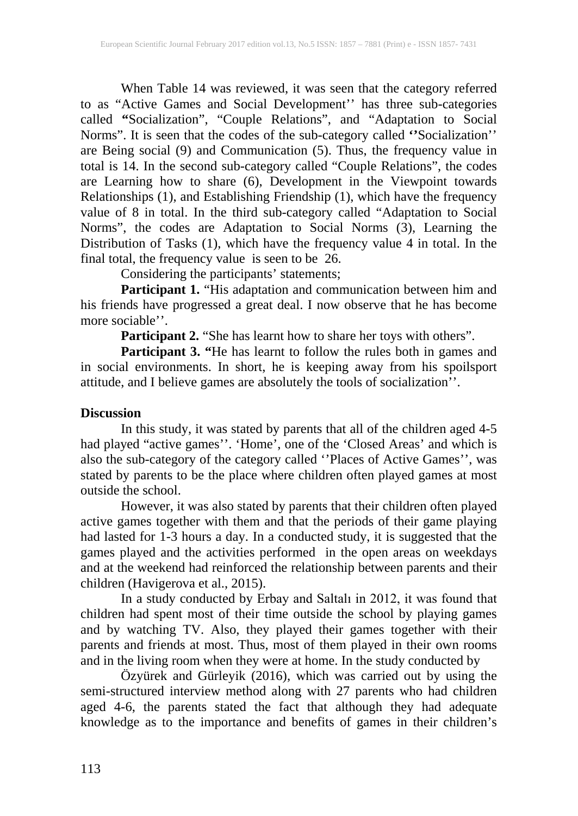When Table 14 was reviewed, it was seen that the category referred to as "Active Games and Social Development'' has three sub-categories called **"**Socialization", "Couple Relations", and "Adaptation to Social Norms". It is seen that the codes of the sub-category called **''**Socialization'' are Being social (9) and Communication (5). Thus, the frequency value in total is 14. In the second sub-category called "Couple Relations", the codes are Learning how to share (6), Development in the Viewpoint towards Relationships (1), and Establishing Friendship (1), which have the frequency value of 8 in total. In the third sub-category called "Adaptation to Social Norms", the codes are Adaptation to Social Norms (3), Learning the Distribution of Tasks (1), which have the frequency value 4 in total. In the final total, the frequency value is seen to be 26.

Considering the participants' statements;

**Participant 1.** "His adaptation and communication between him and his friends have progressed a great deal. I now observe that he has become more sociable''.

**Participant 2.** "She has learnt how to share her toys with others".

**Participant 3. "**He has learnt to follow the rules both in games and in social environments. In short, he is keeping away from his spoilsport attitude, and I believe games are absolutely the tools of socialization''.

#### **Discussion**

In this study, it was stated by parents that all of the children aged 4-5 had played "active games''. 'Home', one of the 'Closed Areas' and which is also the sub-category of the category called ''Places of Active Games'', was stated by parents to be the place where children often played games at most outside the school.

However, it was also stated by parents that their children often played active games together with them and that the periods of their game playing had lasted for 1-3 hours a day. In a conducted study, it is suggested that the games played and the activities performed in the open areas on weekdays and at the weekend had reinforced the relationship between parents and their children (Havigerova et al., 2015).

In a study conducted by Erbay and Saltalı in 2012, it was found that children had spent most of their time outside the school by playing games and by watching TV. Also, they played their games together with their parents and friends at most. Thus, most of them played in their own rooms and in the living room when they were at home. In the study conducted by

Özyürek and Gürleyik (2016), which was carried out by using the semi-structured interview method along with 27 parents who had children aged 4-6, the parents stated the fact that although they had adequate knowledge as to the importance and benefits of games in their children's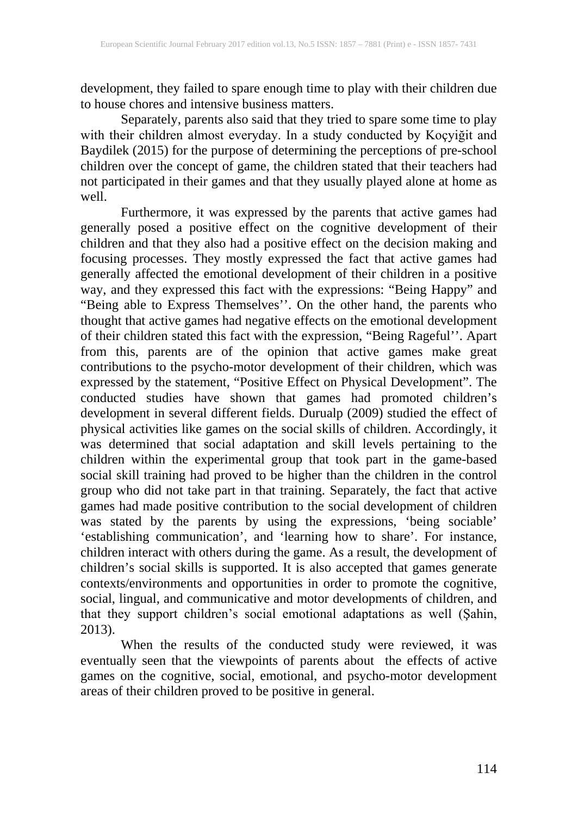development, they failed to spare enough time to play with their children due to house chores and intensive business matters.

Separately, parents also said that they tried to spare some time to play with their children almost everyday. In a study conducted by Koçyiğit and Baydilek (2015) for the purpose of determining the perceptions of pre-school children over the concept of game, the children stated that their teachers had not participated in their games and that they usually played alone at home as well.

Furthermore, it was expressed by the parents that active games had generally posed a positive effect on the cognitive development of their children and that they also had a positive effect on the decision making and focusing processes. They mostly expressed the fact that active games had generally affected the emotional development of their children in a positive way, and they expressed this fact with the expressions: "Being Happy" and "Being able to Express Themselves''. On the other hand, the parents who thought that active games had negative effects on the emotional development of their children stated this fact with the expression, "Being Rageful''. Apart from this, parents are of the opinion that active games make great contributions to the psycho-motor development of their children, which was expressed by the statement, "Positive Effect on Physical Development". The conducted studies have shown that games had promoted children's development in several different fields. Durualp (2009) studied the effect of physical activities like games on the social skills of children. Accordingly, it was determined that social adaptation and skill levels pertaining to the children within the experimental group that took part in the game-based social skill training had proved to be higher than the children in the control group who did not take part in that training. Separately, the fact that active games had made positive contribution to the social development of children was stated by the parents by using the expressions, 'being sociable' 'establishing communication', and 'learning how to share'. For instance, children interact with others during the game. As a result, the development of children's social skills is supported. It is also accepted that games generate contexts/environments and opportunities in order to promote the cognitive, social, lingual, and communicative and motor developments of children, and that they support children's social emotional adaptations as well (Şahin, 2013).

When the results of the conducted study were reviewed, it was eventually seen that the viewpoints of parents about the effects of active games on the cognitive, social, emotional, and psycho-motor development areas of their children proved to be positive in general.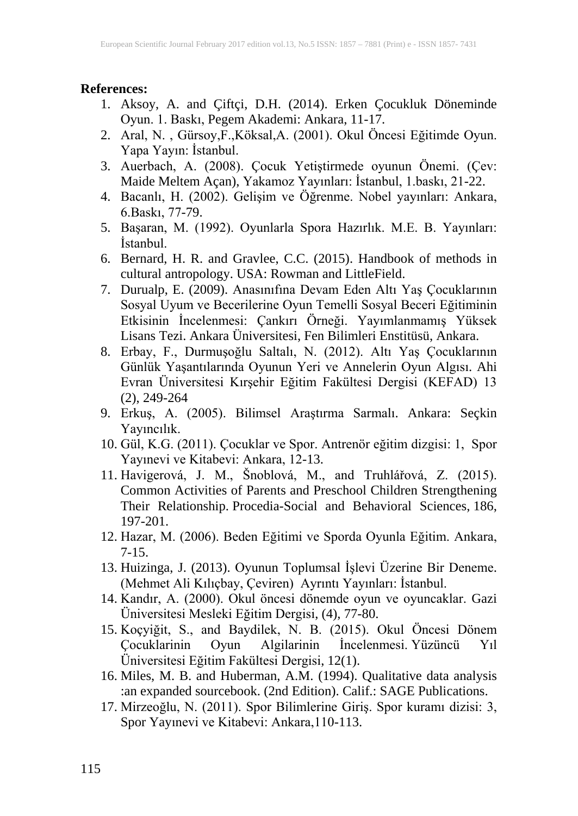#### **References:**

- 1. Aksoy, A. and Çiftçi, D.H. (2014). Erken Çocukluk Döneminde Oyun. 1. Baskı, Pegem Akademi: Ankara, 11-17.
- 2. Aral, N. , Gürsoy,F.,Köksal,A. (2001). Okul Öncesi Eğitimde Oyun. Yapa Yayın: İstanbul.
- 3. Auerbach, A. (2008). Çocuk Yetiştirmede oyunun Önemi. (Çev: Maide Meltem Açan), Yakamoz Yayınları: İstanbul, 1.baskı, 21-22.
- 4. Bacanlı, H. (2002). Gelişim ve Öğrenme. Nobel yayınları: Ankara, 6.Baskı, 77-79.
- 5. Başaran, M. (1992). Oyunlarla Spora Hazırlık. M.E. B. Yayınları: İstanbul.
- 6. Bernard, H. R. and Gravlee, C.C. (2015). Handbook of methods in cultural antropology. USA: Rowman and LittleField.
- 7. Durualp, E. (2009). Anasınıfına Devam Eden Altı Yaş Çocuklarının Sosyal Uyum ve Becerilerine Oyun Temelli Sosyal Beceri Eğitiminin Etkisinin İncelenmesi: Çankırı Örneği. Yayımlanmamış Yüksek Lisans Tezi. Ankara Üniversitesi, Fen Bilimleri Enstitüsü, Ankara.
- 8. Erbay, F., Durmuşoğlu Saltalı, N. (2012). Altı Yaş Çocuklarının Günlük Yaşantılarında Oyunun Yeri ve Annelerin Oyun Algısı. Ahi Evran Üniversitesi Kırşehir Eğitim Fakültesi Dergisi (KEFAD) 13 (2), 249-264
- 9. Erkuş, A. (2005). Bilimsel Araştırma Sarmalı. Ankara: Seçkin Yayıncılık.
- 10. Gül, K.G. (2011). Çocuklar ve Spor. Antrenör eğitim dizgisi: 1, Spor Yayınevi ve Kitabevi: Ankara, 12-13.
- 11. Havigerová, J. M., Šnoblová, M., and Truhlářová, Z. (2015). Common Activities of Parents and Preschool Children Strengthening Their Relationship. Procedia-Social and Behavioral Sciences, 186, 197-201.
- 12. Hazar, M. (2006). Beden Eğitimi ve Sporda Oyunla Eğitim. Ankara, 7-15.
- 13. Huizinga, J. (2013). Oyunun Toplumsal İşlevi Üzerine Bir Deneme. (Mehmet Ali Kılıçbay, Çeviren) Ayrıntı Yayınları: İstanbul.
- 14. Kandır, A. (2000). Okul öncesi dönemde oyun ve oyuncaklar. Gazi Üniversitesi Mesleki Eğitim Dergisi, (4), 77-80.
- 15. Koçyiğit, S., and Baydilek, N. B. (2015). Okul Öncesi Dönem Çocuklarinin Oyun Algilarinin İncelenmesi. Yüzüncü Yıl Üniversitesi Eğitim Fakültesi Dergisi, 12(1).
- 16. Miles, M. B. and Huberman, A.M. (1994). Qualitative data analysis :an expanded sourcebook. (2nd Edition). Calif.: SAGE Publications.
- 17. Mirzeoğlu, N. (2011). Spor Bilimlerine Giriş. Spor kuramı dizisi: 3, Spor Yayınevi ve Kitabevi: Ankara,110-113.